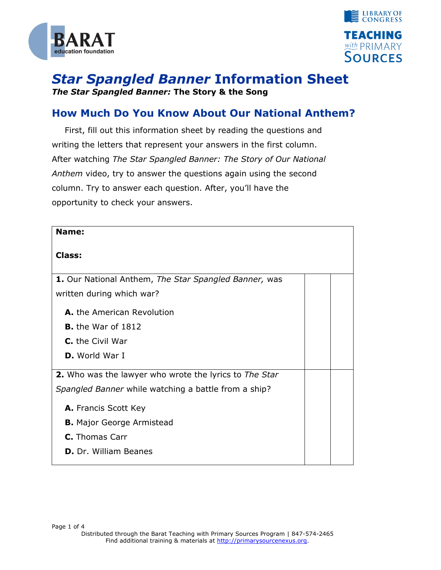



## *Star Spangled Banner* **Information Sheet** *The Star Spangled Banner:* **The Story & the Song**

## **How Much Do You Know About Our National Anthem?**

First, fill out this information sheet by reading the questions and writing the letters that represent your answers in the first column. After watching *The Star Spangled Banner: The Story of Our National Anthem* video, try to answer the questions again using the second column. Try to answer each question. After, you'll have the opportunity to check your answers.

| Name:                                                         |  |
|---------------------------------------------------------------|--|
| <b>Class:</b>                                                 |  |
| 1. Our National Anthem, The Star Spangled Banner, was         |  |
| written during which war?                                     |  |
| <b>A.</b> the American Revolution                             |  |
| <b>B.</b> the War of $1812$                                   |  |
| C. the Civil War                                              |  |
| <b>D.</b> World War I                                         |  |
| <b>2.</b> Who was the lawyer who wrote the lyrics to The Star |  |
| Spangled Banner while watching a battle from a ship?          |  |
| A. Francis Scott Key                                          |  |
| <b>B.</b> Major George Armistead                              |  |
| <b>C.</b> Thomas Carr                                         |  |
| <b>D.</b> Dr. William Beanes                                  |  |
|                                                               |  |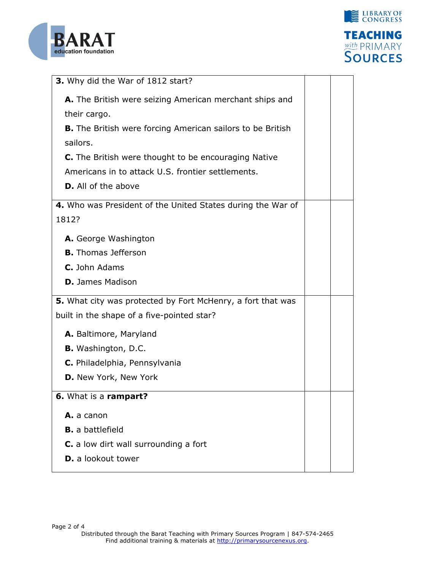



| 3. Why did the War of 1812 start?                                 |  |
|-------------------------------------------------------------------|--|
| A. The British were seizing American merchant ships and           |  |
| their cargo.                                                      |  |
| <b>B.</b> The British were forcing American sailors to be British |  |
| sailors.                                                          |  |
| C. The British were thought to be encouraging Native              |  |
| Americans in to attack U.S. frontier settlements.                 |  |
| <b>D.</b> All of the above                                        |  |
| 4. Who was President of the United States during the War of       |  |
| 1812?                                                             |  |
|                                                                   |  |
| A. George Washington                                              |  |
| <b>B.</b> Thomas Jefferson                                        |  |
| C. John Adams                                                     |  |
| <b>D.</b> James Madison                                           |  |
| 5. What city was protected by Fort McHenry, a fort that was       |  |
| built in the shape of a five-pointed star?                        |  |
| A. Baltimore, Maryland                                            |  |
| <b>B.</b> Washington, D.C.                                        |  |
| C. Philadelphia, Pennsylvania                                     |  |
| D. New York, New York                                             |  |
| 6. What is a rampart?                                             |  |
|                                                                   |  |
| A. a canon                                                        |  |
| <b>B.</b> a battlefield                                           |  |
| C. a low dirt wall surrounding a fort                             |  |
| <b>D.</b> a lookout tower                                         |  |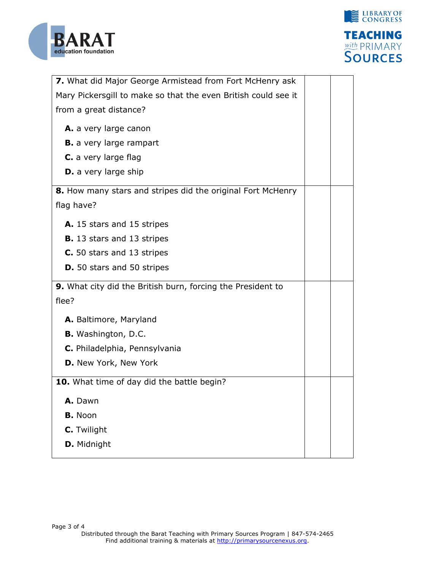



| 7. What did Major George Armistead from Fort McHenry ask       |  |
|----------------------------------------------------------------|--|
| Mary Pickersgill to make so that the even British could see it |  |
| from a great distance?                                         |  |
| A. a very large canon                                          |  |
|                                                                |  |
| <b>B.</b> a very large rampart                                 |  |
| C. a very large flag                                           |  |
| <b>D.</b> a very large ship                                    |  |
| 8. How many stars and stripes did the original Fort McHenry    |  |
| flag have?                                                     |  |
|                                                                |  |
| A. 15 stars and 15 stripes                                     |  |
| <b>B.</b> 13 stars and 13 stripes                              |  |
| C. 50 stars and 13 stripes                                     |  |
| <b>D.</b> 50 stars and 50 stripes                              |  |
| 9. What city did the British burn, forcing the President to    |  |
| flee?                                                          |  |
|                                                                |  |
| A. Baltimore, Maryland                                         |  |
|                                                                |  |
| <b>B.</b> Washington, D.C.                                     |  |
| C. Philadelphia, Pennsylvania                                  |  |
| D. New York, New York                                          |  |
| 10. What time of day did the battle begin?                     |  |
|                                                                |  |
| A. Dawn                                                        |  |
| <b>B.</b> Noon                                                 |  |
| C. Twilight                                                    |  |
| D. Midnight                                                    |  |